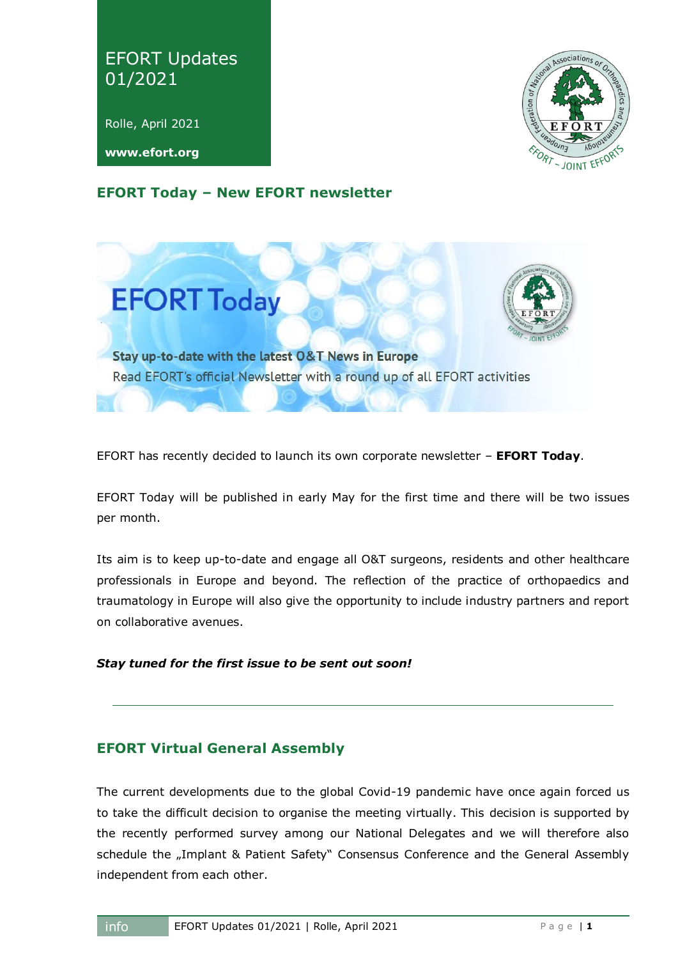# EFORT Updates 01/2021

Rolle, April 2021

**www.efort.org**



## **EFORT Today – New EFORT newsletter**



EFORT has recently decided to launch its own corporate newsletter – **EFORT Today**.

EFORT Today will be published in early May for the first time and there will be two issues per month.

Its aim is to keep up-to-date and engage all O&T surgeons, residents and other healthcare professionals in Europe and beyond. The reflection of the practice of orthopaedics and traumatology in Europe will also give the opportunity to include industry partners and report on collaborative avenues.

#### *Stay tuned for the first issue to be sent out soon!*

## **EFORT Virtual General Assembly**

The current developments due to the global Covid-19 pandemic have once again forced us to take the difficult decision to organise the meeting virtually. This decision is supported by the recently performed survey among our National Delegates and we will therefore also schedule the "Implant & Patient Safety" Consensus Conference and the General Assembly independent from each other.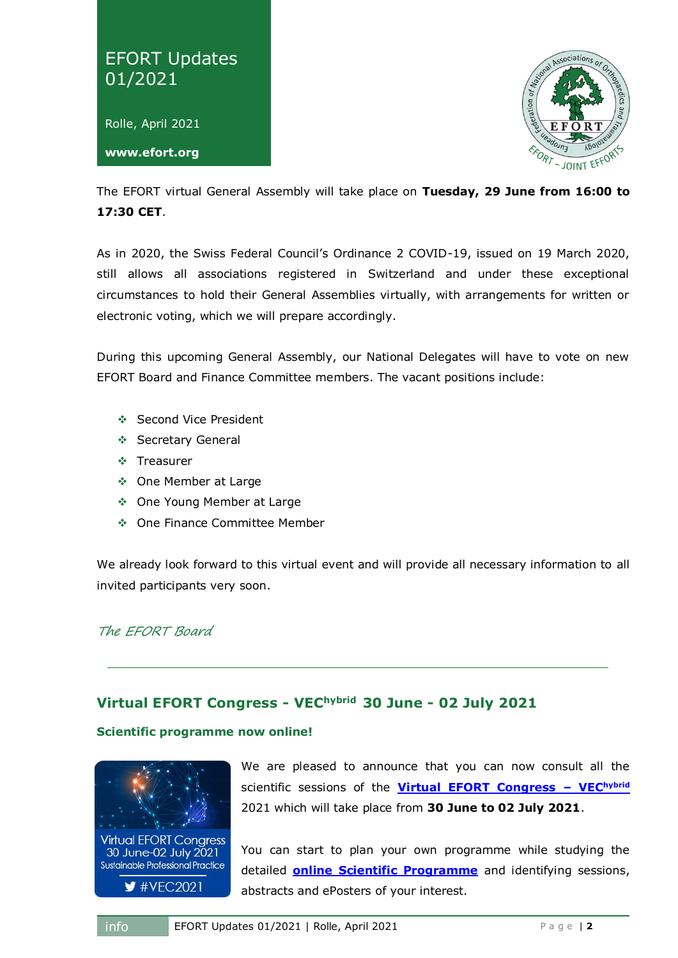



The EFORT virtual General Assembly will take place on **Tuesday, 29 June from 16:00 to 17:30 CET**.

As in 2020, the Swiss Federal Council's Ordinance 2 COVID-19, issued on 19 March 2020, still allows all associations registered in Switzerland and under these exceptional circumstances to hold their General Assemblies virtually, with arrangements for written or electronic voting, which we will prepare accordingly.

During this upcoming General Assembly, our National Delegates will have to vote on new EFORT Board and Finance Committee members. The vacant positions include:

- ❖ Second Vice President
- ❖ Secretary General
- ❖ Treasurer
- One Member at Large
- One Young Member at Large
- One Finance Committee Member

We already look forward to this virtual event and will provide all necessary information to all invited participants very soon.

The EFORT Board

## **Virtual EFORT Congress - VEChybrid 30 June - 02 July 2021**

#### **Scientific programme now online!**



We are pleased to announce that you can now consult all the scientific sessions of the **[Virtual EFORT Congress](https://vec.efort.org/) – VEChybrid** 2021 which will take place from **30 June to 02 July 2021**.

You can start to plan your own programme while studying the detailed **[online Scientific Programme](https://vec.efort.org/scientific-programme)** and identifying sessions, abstracts and ePosters of your interest.